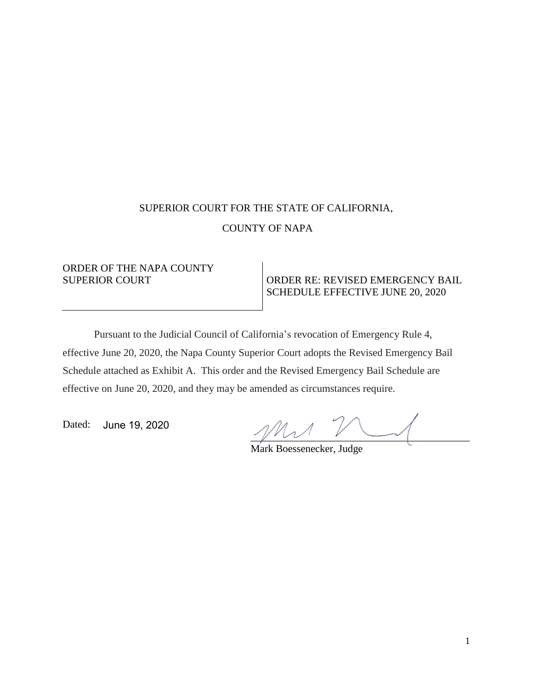## SUPERIOR COURT FOR THE STATE OF CALIFORNIA, COUNTY OF NAPA

# ORDER OF THE NAPA COUNTY

#### SUPERIOR COURT COURT ORDER RE: REVISED EMERGENCY BAIL SCHEDULE EFFECTIVE JUNE 20, 2020

Pursuant to the Judicial Council of California's revocation of Emergency Rule 4, effective June 20, 2020, the Napa County Superior Court adopts the Revised Emergency Bail Schedule attached as Exhibit A. This order and the Revised Emergency Bail Schedule are effective on June 20, 2020, and they may be amended as circumstances require.

Dated: June 19, 2020

 $\sim$ 

Mark Boessenecker, Judge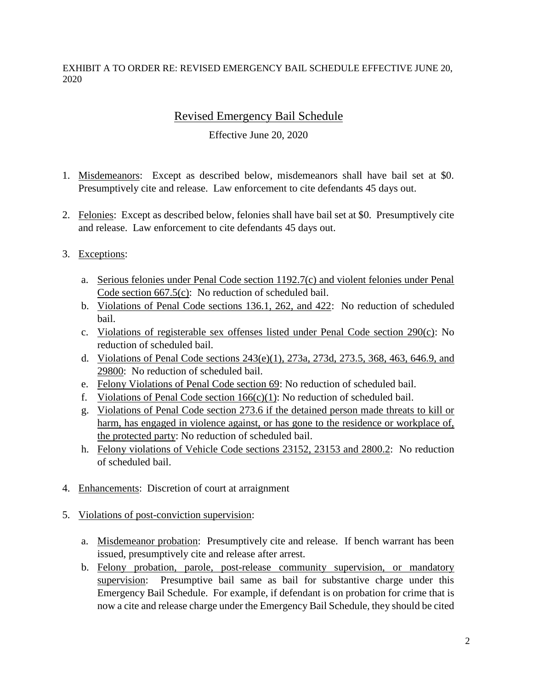EXHIBIT A TO ORDER RE: REVISED EMERGENCY BAIL SCHEDULE EFFECTIVE JUNE 20, 2020

### Revised Emergency Bail Schedule

#### Effective June 20, 2020

- 1. Misdemeanors: Except as described below, misdemeanors shall have bail set at \$0. Presumptively cite and release. Law enforcement to cite defendants 45 days out.
- 2. Felonies: Except as described below, felonies shall have bail set at \$0. Presumptively cite and release. Law enforcement to cite defendants 45 days out.
- 3. Exceptions:
	- a. Serious felonies under Penal Code section 1192.7(c) and violent felonies under Penal Code section 667.5(c): No reduction of scheduled bail.
	- b. Violations of Penal Code sections 136.1, 262, and 422: No reduction of scheduled bail.
	- c. Violations of registerable sex offenses listed under Penal Code section 290(c): No reduction of scheduled bail.
	- d. Violations of Penal Code sections 243(e)(1), 273a, 273d, 273.5, 368, 463, 646.9, and 29800: No reduction of scheduled bail.
	- e. Felony Violations of Penal Code section 69: No reduction of scheduled bail.
	- f. Violations of Penal Code section  $166(c)(1)$ : No reduction of scheduled bail.
	- g. Violations of Penal Code section 273.6 if the detained person made threats to kill or harm, has engaged in violence against, or has gone to the residence or workplace of, the protected party: No reduction of scheduled bail.
	- h. Felony violations of Vehicle Code sections 23152, 23153 and 2800.2: No reduction of scheduled bail.
- 4. Enhancements: Discretion of court at arraignment
- 5. Violations of post-conviction supervision:
	- a. Misdemeanor probation: Presumptively cite and release. If bench warrant has been issued, presumptively cite and release after arrest.
	- b. Felony probation, parole, post-release community supervision, or mandatory supervision: Presumptive bail same as bail for substantive charge under this Emergency Bail Schedule. For example, if defendant is on probation for crime that is now a cite and release charge under the Emergency Bail Schedule, they should be cited